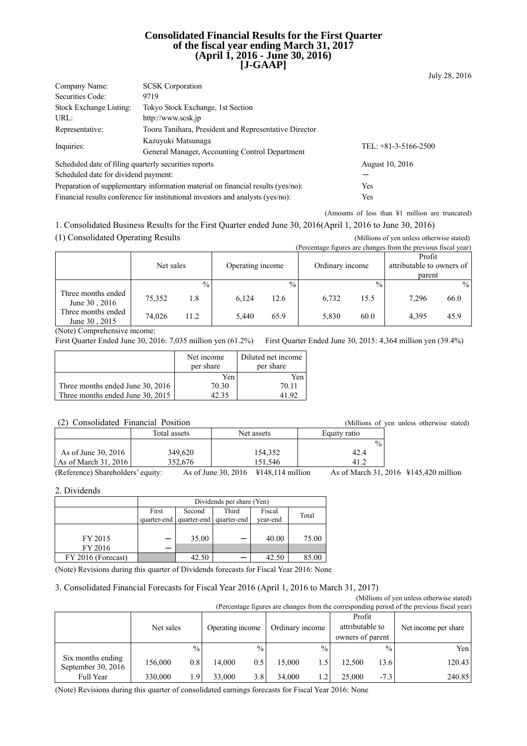### **Consolidated Financial Results for the First Quarter of the fiscal year ending March 31, 2017 (April 1, 2016 - June 30, 2016) [J-GAAP]**

|                                      |                                                                                  | July 28, 2016          |
|--------------------------------------|----------------------------------------------------------------------------------|------------------------|
| Company Name:                        | <b>SCSK</b> Corporation                                                          |                        |
| Securities Code:                     | 9719                                                                             |                        |
| Stock Exchange Listing:              | Tokyo Stock Exchange, 1st Section                                                |                        |
| URL:                                 | http://www.scsk.jp                                                               |                        |
| Representative:                      | Tooru Tanihara, President and Representative Director                            |                        |
| Inquiries:                           | Kazuvuki Matsunaga<br>General Manager, Accounting Control Department             | TEL: $+81-3-5166-2500$ |
|                                      | Scheduled date of filing quarterly securities reports                            | August 10, 2016        |
| Scheduled date for dividend payment: |                                                                                  |                        |
|                                      | Preparation of supplementary information material on financial results (yes/no): | Yes                    |
|                                      | Financial results conference for institutional investors and analysts (yes/no):  | Yes                    |

(Amounts of less than ¥1 million are truncated)

1. Consolidated Business Results for the First Quarter ended June 30, 2016(April 1, 2016 to June 30, 2016)

(1) Consolidated Operating Results (Millions of yen unless otherwise stated)

|                                     |           |               |                  |               |                 |               | (Percentage figures are changes from the previous fiscal year) |               |
|-------------------------------------|-----------|---------------|------------------|---------------|-----------------|---------------|----------------------------------------------------------------|---------------|
|                                     |           |               |                  |               |                 |               | Profit                                                         |               |
|                                     | Net sales |               | Operating income |               | Ordinary income |               | attributable to owners of                                      |               |
|                                     |           |               |                  |               |                 |               | parent                                                         |               |
|                                     |           | $\frac{0}{0}$ |                  | $\frac{0}{0}$ |                 | $\frac{0}{0}$ |                                                                | $\frac{0}{0}$ |
| Three months ended<br>June 30, 2016 | 75,352    | 1.8           | 6.124            | 12.6          | 6,732           | 15.5          | 7.296                                                          | 66.0          |
| Three months ended<br>June 30, 2015 | 74.026    | 11.2          | 5.440            | 65.9          | 5,830           | 60.0          | 4.395                                                          | 45.9          |

(Note) Comprehensive income:

First Quarter Ended June 30, 2016: 7,035 million yen (61.2%) First Quarter Ended June 30, 2015: 4,364 million yen (39.4%)

|                                  | Net income<br>per share | Diluted net income<br>per share |
|----------------------------------|-------------------------|---------------------------------|
|                                  | Yen                     | Yen                             |
| Three months ended June 30, 2016 | 70.30                   | 70.11                           |
| Three months ended June 30, 2015 |                         | 11 92                           |

### (2) Consolidated Financial Position (Millions of yen unless otherwise stated)

| $\cdot$ $\sim$ $\cdot$<br>$\sim$                    | 11111011001   | ,,,,,                   |               |  |
|-----------------------------------------------------|---------------|-------------------------|---------------|--|
|                                                     | Total assets  | Net assets              | Equity ratio  |  |
|                                                     |               |                         | $\frac{0}{0}$ |  |
| As of June 30, 2016                                 | 349,620       | 154,352                 | 42.4          |  |
| As of March 31, 2016                                | 352,676       | 151.546                 |               |  |
| $\sim$ $\sim$<br>$\sim$ $\sim$ $\sim$ $\sim$ $\sim$ | $\sim$ $\tau$ | $20.2017 - 371.40.11.4$ | 0.11.01.00    |  |

(Reference) Shareholders' equity: As of June 30, 2016 ¥148,114 million As of March 31, 2016 ¥145,420 million

2. Dividends

|                    | Dividends per share (Yen) |                                                                              |  |       |       |  |  |
|--------------------|---------------------------|------------------------------------------------------------------------------|--|-------|-------|--|--|
|                    | First<br>quarter-end      | Third<br>Fiscal<br>Second<br>Total<br>quarter-end<br>quarter-end<br>year-end |  |       |       |  |  |
|                    |                           |                                                                              |  |       |       |  |  |
| FY 2015            |                           | 35.00                                                                        |  | 40.00 | 75.00 |  |  |
| FY 2016            |                           |                                                                              |  |       |       |  |  |
| FY 2016 (Forecast) |                           | 42.50                                                                        |  | 42.50 | 85.00 |  |  |

(Note) Revisions during this quarter of Dividends forecasts for Fiscal Year 2016: None

#### 3. Consolidated Financial Forecasts for Fiscal Year 2016 (April 1, 2016 to March 31, 2017)

(Millions of yen unless otherwise stated) (Percentage figures are changes from the corresponding period of the previous fiscal year)

| referringly rigures are changes from the corresponding period of the previous fiscar year) |           |                |                  |               |                 |               |                                               |        |                      |
|--------------------------------------------------------------------------------------------|-----------|----------------|------------------|---------------|-----------------|---------------|-----------------------------------------------|--------|----------------------|
|                                                                                            | Net sales |                | Operating income |               | Ordinary income |               | Profit<br>attributable to<br>owners of parent |        | Net income per share |
|                                                                                            |           | $\frac{0}{0}$  |                  | $\frac{0}{0}$ |                 | $\frac{0}{0}$ |                                               | $\%$ . | Yen                  |
| Six months ending<br>September 30, $2016$                                                  | 156,000   | 0.8            | 14.000           | 0.5           | 15.000          | 1.5           | 12.500                                        | 13.6   | 120.43               |
| Full Year                                                                                  | 330,000   | $\overline{9}$ | 33,000           | 3.8           | 34,000          | 1.2           | 25.000                                        | $-7.3$ | 240.85               |

(Note) Revisions during this quarter of consolidated earnings forecasts for Fiscal Year 2016: None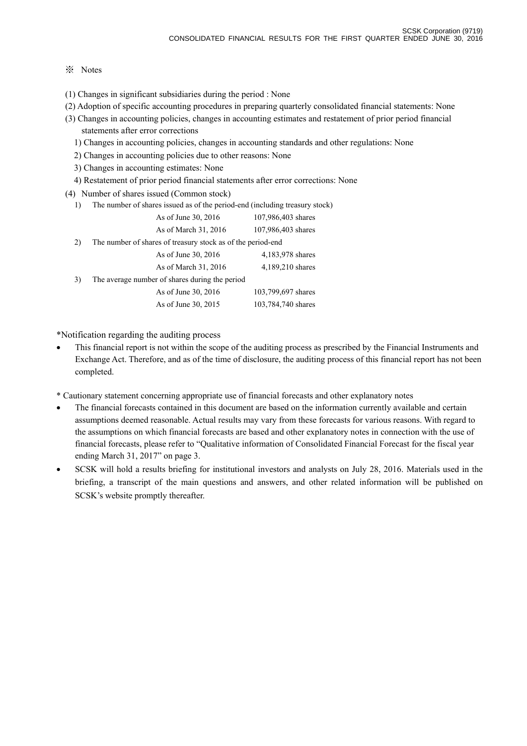## ※ Notes

- (1) Changes in significant subsidiaries during the period : None
- (2) Adoption of specific accounting procedures in preparing quarterly consolidated financial statements: None
- (3) Changes in accounting policies, changes in accounting estimates and restatement of prior period financial statements after error corrections
	- 1) Changes in accounting policies, changes in accounting standards and other regulations: None
	- 2) Changes in accounting policies due to other reasons: None
	- 3) Changes in accounting estimates: None
	- 4) Restatement of prior period financial statements after error corrections: None
- (4) Number of shares issued (Common stock)
	- 1) The number of shares issued as of the period-end (including treasury stock)

|    | As of June 30, 2016                                         | 107,986,403 shares |
|----|-------------------------------------------------------------|--------------------|
|    | As of March 31, 2016                                        | 107,986,403 shares |
| 2) | The number of shares of treasury stock as of the period-end |                    |
|    | As of June 30, 2016                                         | 4,183,978 shares   |
|    | As of March 31, 2016                                        | 4,189,210 shares   |
| 3) | The average number of shares during the period              |                    |
|    | As of June 30, 2016                                         | 103,799,697 shares |
|    | As of June 30, 2015                                         | 103,784,740 shares |

\*Notification regarding the auditing process

- This financial report is not within the scope of the auditing process as prescribed by the Financial Instruments and Exchange Act. Therefore, and as of the time of disclosure, the auditing process of this financial report has not been completed.
- \* Cautionary statement concerning appropriate use of financial forecasts and other explanatory notes
- The financial forecasts contained in this document are based on the information currently available and certain assumptions deemed reasonable. Actual results may vary from these forecasts for various reasons. With regard to the assumptions on which financial forecasts are based and other explanatory notes in connection with the use of financial forecasts, please refer to "Qualitative information of Consolidated Financial Forecast for the fiscal year ending March 31, 2017" on page 3.
- SCSK will hold a results briefing for institutional investors and analysts on July 28, 2016. Materials used in the briefing, a transcript of the main questions and answers, and other related information will be published on SCSK's website promptly thereafter.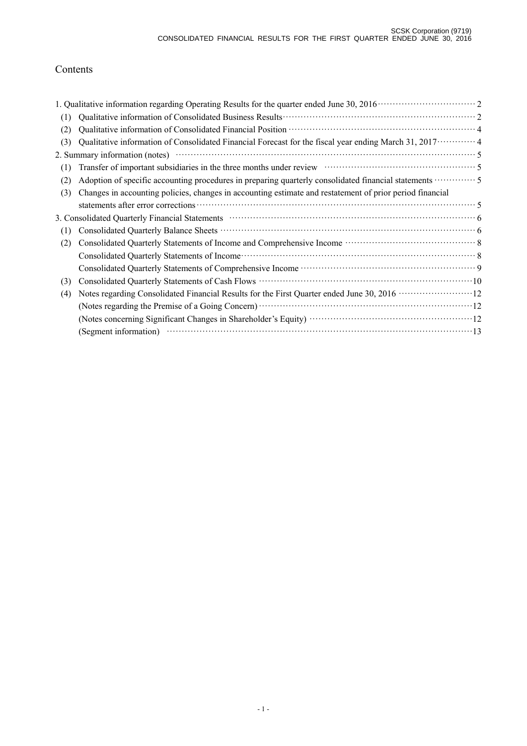# Contents

| (1) |                                                                                                                                                                      |
|-----|----------------------------------------------------------------------------------------------------------------------------------------------------------------------|
| (2) |                                                                                                                                                                      |
| (3) | Qualitative information of Consolidated Financial Forecast for the fiscal year ending March 31, $2017 \cdots 4$                                                      |
|     |                                                                                                                                                                      |
| (1) | Transfer of important subsidiaries in the three months under review material contact the state of important subsidiaries in the three months under review materials. |
| (2) | Adoption of specific accounting procedures in preparing quarterly consolidated financial statements <b>COM</b> 5                                                     |
| (3) | Changes in accounting policies, changes in accounting estimate and restatement of prior period financial                                                             |
|     |                                                                                                                                                                      |
|     | 3. Consolidated Quarterly Financial Statements material contract to the Statement of                                                                                 |
| (1) |                                                                                                                                                                      |
| (2) |                                                                                                                                                                      |
|     |                                                                                                                                                                      |
|     |                                                                                                                                                                      |
| (3) |                                                                                                                                                                      |
| (4) | Notes regarding Consolidated Financial Results for the First Quarter ended June 30, 2016 ···························12                                               |
|     |                                                                                                                                                                      |
|     |                                                                                                                                                                      |
|     | (Segment information) $\cdots$ 13                                                                                                                                    |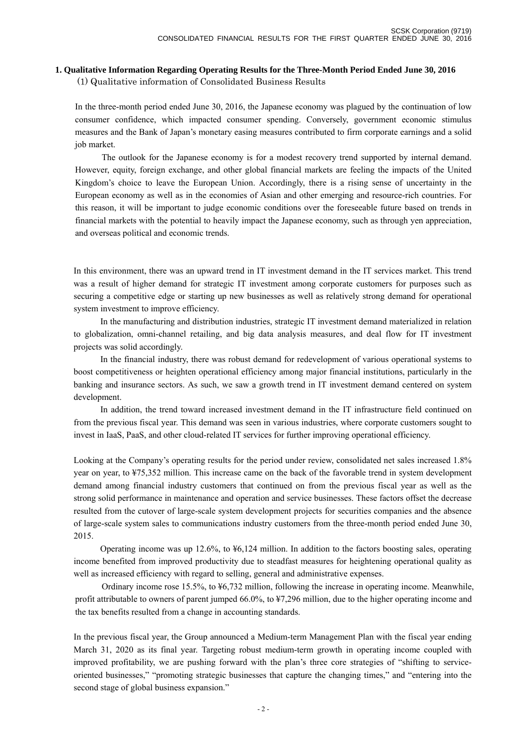#### **1. Qualitative Information Regarding Operating Results for the Three-Month Period Ended June 30, 2016**

(1) Qualitative information of Consolidated Business Results

In the three-month period ended June 30, 2016, the Japanese economy was plagued by the continuation of low consumer confidence, which impacted consumer spending. Conversely, government economic stimulus measures and the Bank of Japan's monetary easing measures contributed to firm corporate earnings and a solid job market.

 The outlook for the Japanese economy is for a modest recovery trend supported by internal demand. However, equity, foreign exchange, and other global financial markets are feeling the impacts of the United Kingdom's choice to leave the European Union. Accordingly, there is a rising sense of uncertainty in the European economy as well as in the economies of Asian and other emerging and resource-rich countries. For this reason, it will be important to judge economic conditions over the foreseeable future based on trends in financial markets with the potential to heavily impact the Japanese economy, such as through yen appreciation, and overseas political and economic trends.

In this environment, there was an upward trend in IT investment demand in the IT services market. This trend was a result of higher demand for strategic IT investment among corporate customers for purposes such as securing a competitive edge or starting up new businesses as well as relatively strong demand for operational system investment to improve efficiency.

 In the manufacturing and distribution industries, strategic IT investment demand materialized in relation to globalization, omni-channel retailing, and big data analysis measures, and deal flow for IT investment projects was solid accordingly.

 In the financial industry, there was robust demand for redevelopment of various operational systems to boost competitiveness or heighten operational efficiency among major financial institutions, particularly in the banking and insurance sectors. As such, we saw a growth trend in IT investment demand centered on system development.

 In addition, the trend toward increased investment demand in the IT infrastructure field continued on from the previous fiscal year. This demand was seen in various industries, where corporate customers sought to invest in IaaS, PaaS, and other cloud-related IT services for further improving operational efficiency.

Looking at the Company's operating results for the period under review, consolidated net sales increased 1.8% year on year, to ¥75,352 million. This increase came on the back of the favorable trend in system development demand among financial industry customers that continued on from the previous fiscal year as well as the strong solid performance in maintenance and operation and service businesses. These factors offset the decrease resulted from the cutover of large-scale system development projects for securities companies and the absence of large-scale system sales to communications industry customers from the three-month period ended June 30, 2015.

 Operating income was up 12.6%, to ¥6,124 million. In addition to the factors boosting sales, operating income benefited from improved productivity due to steadfast measures for heightening operational quality as well as increased efficiency with regard to selling, general and administrative expenses.

 Ordinary income rose 15.5%, to ¥6,732 million, following the increase in operating income. Meanwhile, profit attributable to owners of parent jumped 66.0%, to ¥7,296 million, due to the higher operating income and the tax benefits resulted from a change in accounting standards.

In the previous fiscal year, the Group announced a Medium-term Management Plan with the fiscal year ending March 31, 2020 as its final year. Targeting robust medium-term growth in operating income coupled with improved profitability, we are pushing forward with the plan's three core strategies of "shifting to serviceoriented businesses," "promoting strategic businesses that capture the changing times," and "entering into the second stage of global business expansion."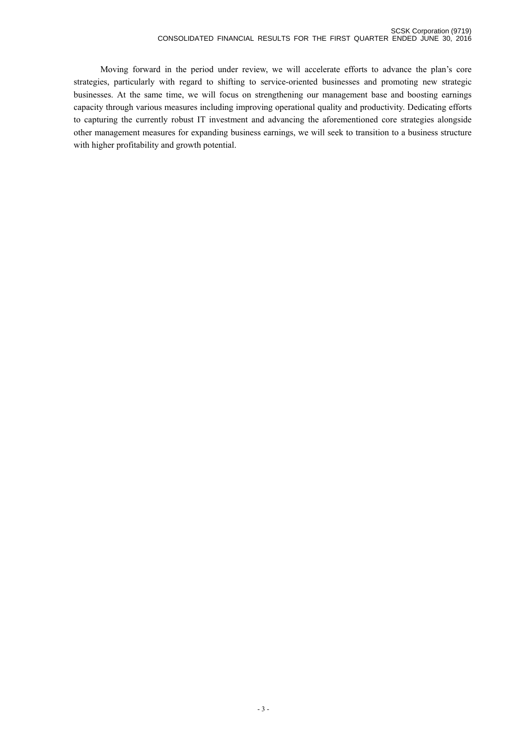Moving forward in the period under review, we will accelerate efforts to advance the plan's core strategies, particularly with regard to shifting to service-oriented businesses and promoting new strategic businesses. At the same time, we will focus on strengthening our management base and boosting earnings capacity through various measures including improving operational quality and productivity. Dedicating efforts to capturing the currently robust IT investment and advancing the aforementioned core strategies alongside other management measures for expanding business earnings, we will seek to transition to a business structure with higher profitability and growth potential.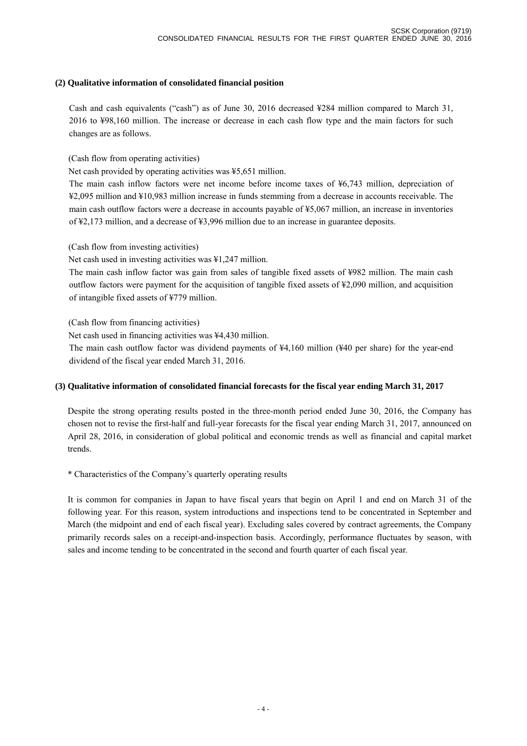### **(2) Qualitative information of consolidated financial position**

Cash and cash equivalents ("cash") as of June 30, 2016 decreased ¥284 million compared to March 31, 2016 to ¥98,160 million. The increase or decrease in each cash flow type and the main factors for such changes are as follows.

(Cash flow from operating activities)

Net cash provided by operating activities was ¥5,651 million.

The main cash inflow factors were net income before income taxes of ¥6,743 million, depreciation of ¥2,095 million and ¥10,983 million increase in funds stemming from a decrease in accounts receivable. The main cash outflow factors were a decrease in accounts payable of ¥5,067 million, an increase in inventories of ¥2,173 million, and a decrease of ¥3,996 million due to an increase in guarantee deposits.

(Cash flow from investing activities)

Net cash used in investing activities was ¥1,247 million.

The main cash inflow factor was gain from sales of tangible fixed assets of ¥982 million. The main cash outflow factors were payment for the acquisition of tangible fixed assets of ¥2,090 million, and acquisition of intangible fixed assets of ¥779 million.

(Cash flow from financing activities)

Net cash used in financing activities was ¥4,430 million.

The main cash outflow factor was dividend payments of ¥4,160 million (¥40 per share) for the year-end dividend of the fiscal year ended March 31, 2016.

## **(3) Qualitative information of consolidated financial forecasts for the fiscal year ending March 31, 2017**

Despite the strong operating results posted in the three-month period ended June 30, 2016, the Company has chosen not to revise the first-half and full-year forecasts for the fiscal year ending March 31, 2017, announced on April 28, 2016, in consideration of global political and economic trends as well as financial and capital market trends.

\* Characteristics of the Company's quarterly operating results

It is common for companies in Japan to have fiscal years that begin on April 1 and end on March 31 of the following year. For this reason, system introductions and inspections tend to be concentrated in September and March (the midpoint and end of each fiscal year). Excluding sales covered by contract agreements, the Company primarily records sales on a receipt-and-inspection basis. Accordingly, performance fluctuates by season, with sales and income tending to be concentrated in the second and fourth quarter of each fiscal year.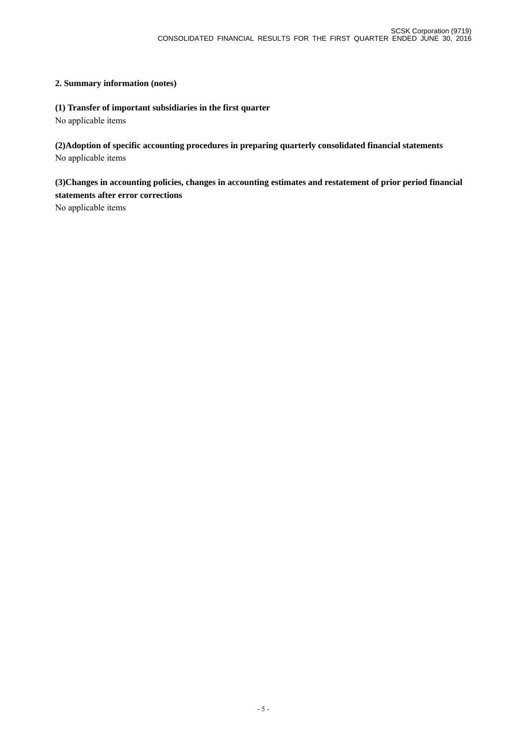## **2. Summary information (notes)**

## **(1) Transfer of important subsidiaries in the first quarter**

No applicable items

**(2)Adoption of specific accounting procedures in preparing quarterly consolidated financial statements** No applicable items

**(3)Changes in accounting policies, changes in accounting estimates and restatement of prior period financial statements after error corrections** 

No applicable items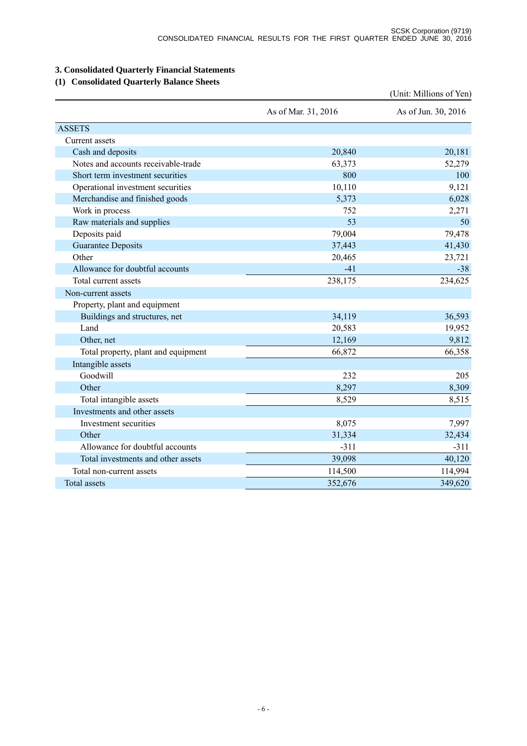# **3. Consolidated Quarterly Financial Statements**

# **(1) Consolidated Quarterly Balance Sheets**

|                                     |                     | (Unit: Millions of Yen) |
|-------------------------------------|---------------------|-------------------------|
|                                     | As of Mar. 31, 2016 | As of Jun. 30, 2016     |
| <b>ASSETS</b>                       |                     |                         |
| Current assets                      |                     |                         |
| Cash and deposits                   | 20,840              | 20,181                  |
| Notes and accounts receivable-trade | 63,373              | 52,279                  |
| Short term investment securities    | 800                 | 100                     |
| Operational investment securities   | 10,110              | 9,121                   |
| Merchandise and finished goods      | 5,373               | 6,028                   |
| Work in process                     | 752                 | 2,271                   |
| Raw materials and supplies          | 53                  | 50                      |
| Deposits paid                       | 79,004              | 79,478                  |
| <b>Guarantee Deposits</b>           | 37,443              | 41,430                  |
| Other                               | 20,465              | 23,721                  |
| Allowance for doubtful accounts     | $-41$               | $-38$                   |
| Total current assets                | 238,175             | 234,625                 |
| Non-current assets                  |                     |                         |
| Property, plant and equipment       |                     |                         |
| Buildings and structures, net       | 34,119              | 36,593                  |
| Land                                | 20,583              | 19,952                  |
| Other, net                          | 12,169              | 9,812                   |
| Total property, plant and equipment | 66,872              | 66,358                  |
| Intangible assets                   |                     |                         |
| Goodwill                            | 232                 | 205                     |
| Other                               | 8,297               | 8,309                   |
| Total intangible assets             | 8,529               | 8,515                   |
| Investments and other assets        |                     |                         |
| Investment securities               | 8,075               | 7,997                   |
| Other                               | 31,334              | 32,434                  |
| Allowance for doubtful accounts     | $-311$              | $-311$                  |
| Total investments and other assets  | 39,098              | 40,120                  |
| Total non-current assets            | 114,500             | 114,994                 |
| <b>Total assets</b>                 | 352,676             | 349,620                 |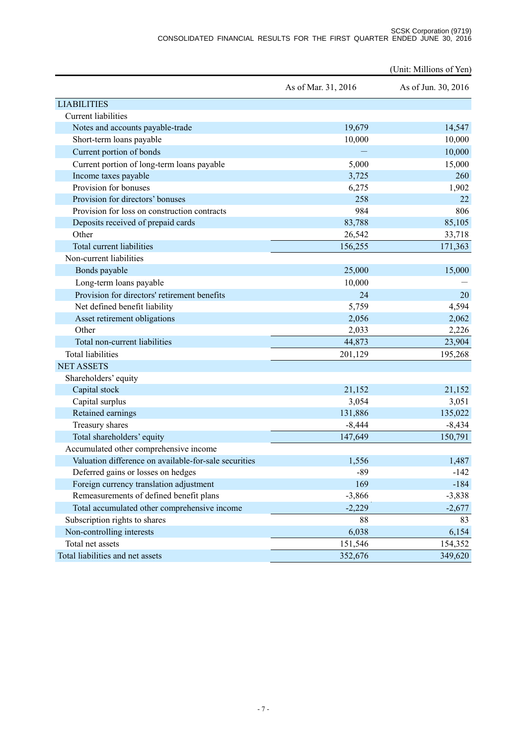#### SCSK Corporation (9719) CONSOLIDATED FINANCIAL RESULTS FOR THE FIRST QUARTER ENDED JUNE 30, 2016

|                                                       |                     | (Unit: Millions of Yen) |
|-------------------------------------------------------|---------------------|-------------------------|
|                                                       | As of Mar. 31, 2016 | As of Jun. 30, 2016     |
| <b>LIABILITIES</b>                                    |                     |                         |
| <b>Current</b> liabilities                            |                     |                         |
| Notes and accounts payable-trade                      | 19,679              | 14,547                  |
| Short-term loans payable                              | 10,000              | 10,000                  |
| Current portion of bonds                              |                     | 10,000                  |
| Current portion of long-term loans payable            | 5,000               | 15,000                  |
| Income taxes payable                                  | 3,725               | 260                     |
| Provision for bonuses                                 | 6,275               | 1,902                   |
| Provision for directors' bonuses                      | 258                 | 22                      |
| Provision for loss on construction contracts          | 984                 | 806                     |
| Deposits received of prepaid cards                    | 83,788              | 85,105                  |
| Other                                                 | 26,542              | 33,718                  |
| Total current liabilities                             | 156,255             | 171,363                 |
| Non-current liabilities                               |                     |                         |
| Bonds payable                                         | 25,000              | 15,000                  |
| Long-term loans payable                               | 10,000              |                         |
| Provision for directors' retirement benefits          | 24                  | 20                      |
| Net defined benefit liability                         | 5,759               | 4,594                   |
| Asset retirement obligations                          | 2,056               | 2,062                   |
| Other                                                 | 2,033               | 2,226                   |
| Total non-current liabilities                         | 44,873              | 23,904                  |
| <b>Total liabilities</b>                              | 201,129             | 195,268                 |
| <b>NET ASSETS</b>                                     |                     |                         |
| Shareholders' equity                                  |                     |                         |
| Capital stock                                         | 21,152              | 21,152                  |
| Capital surplus                                       | 3,054               | 3,051                   |
| Retained earnings                                     | 131,886             | 135,022                 |
| Treasury shares                                       | $-8,444$            | $-8,434$                |
| Total shareholders' equity                            | 147,649             | 150,791                 |
| Accumulated other comprehensive income                |                     |                         |
| Valuation difference on available-for-sale securities | 1,556               | 1,487                   |
| Deferred gains or losses on hedges                    | $-89$               | $-142$                  |
| Foreign currency translation adjustment               | 169                 | $-184$                  |
| Remeasurements of defined benefit plans               | $-3,866$            | $-3,838$                |
| Total accumulated other comprehensive income          | $-2,229$            | $-2,677$                |
| Subscription rights to shares                         | 88                  | 83                      |
| Non-controlling interests                             | 6,038               | 6,154                   |
| Total net assets                                      | 151,546             | 154,352                 |
| Total liabilities and net assets                      | 352,676             | 349,620                 |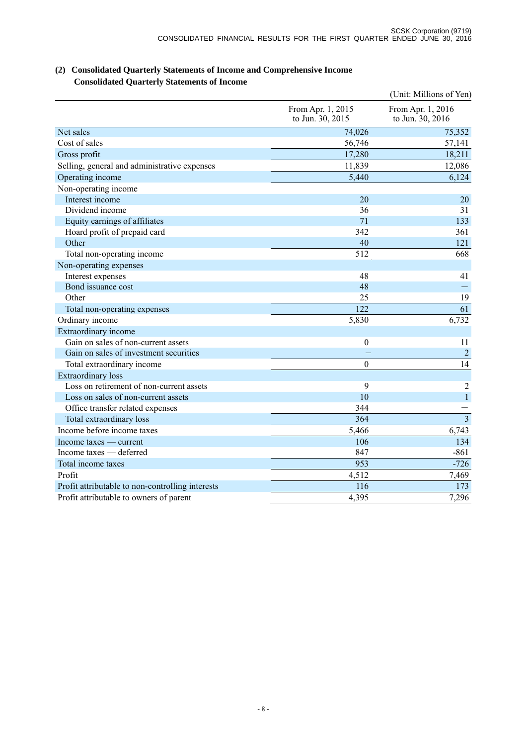|                                                  |                                       | (Unit: Millions of Yen)               |
|--------------------------------------------------|---------------------------------------|---------------------------------------|
|                                                  | From Apr. 1, 2015<br>to Jun. 30, 2015 | From Apr. 1, 2016<br>to Jun. 30, 2016 |
| Net sales                                        | 74,026                                | 75,352                                |
| Cost of sales                                    | 56,746                                | 57,141                                |
| Gross profit                                     | 17,280                                | 18,211                                |
| Selling, general and administrative expenses     | 11,839                                | 12,086                                |
| Operating income                                 | 5,440                                 | 6,124                                 |
| Non-operating income                             |                                       |                                       |
| Interest income                                  | 20                                    | 20                                    |
| Dividend income                                  | 36                                    | 31                                    |
| Equity earnings of affiliates                    | 71                                    | 133                                   |
| Hoard profit of prepaid card                     | 342                                   | 361                                   |
| Other                                            | 40                                    | 121                                   |
| Total non-operating income                       | 512                                   | 668                                   |
| Non-operating expenses                           |                                       |                                       |
| Interest expenses                                | 48                                    | 41                                    |
| Bond issuance cost                               | 48                                    |                                       |
| Other                                            | 25                                    | 19                                    |
| Total non-operating expenses                     | 122                                   | 61                                    |
| Ordinary income                                  | 5,830                                 | 6,732                                 |
| Extraordinary income                             |                                       |                                       |
| Gain on sales of non-current assets              | $\mathbf{0}$                          | 11                                    |
| Gain on sales of investment securities           |                                       | $\overline{2}$                        |
| Total extraordinary income                       | $\boldsymbol{0}$                      | 14                                    |
| <b>Extraordinary</b> loss                        |                                       |                                       |
| Loss on retirement of non-current assets         | 9                                     | $\overline{2}$                        |
| Loss on sales of non-current assets              | 10                                    | $\mathbf{1}$                          |
| Office transfer related expenses                 | 344                                   |                                       |
| Total extraordinary loss                         | 364                                   | $\overline{3}$                        |
| Income before income taxes                       | 5,466                                 | 6,743                                 |
| Income taxes — current                           | 106                                   | 134                                   |
| Income taxes — deferred                          | 847                                   | $-861$                                |
| Total income taxes                               | 953                                   | $-726$                                |
| Profit                                           | 4,512                                 | 7,469                                 |
| Profit attributable to non-controlling interests | 116                                   | 173                                   |
| Profit attributable to owners of parent          | 4,395                                 | 7,296                                 |

## **(2) Consolidated Quarterly Statements of Income and Comprehensive Income Consolidated Quarterly Statements of Income**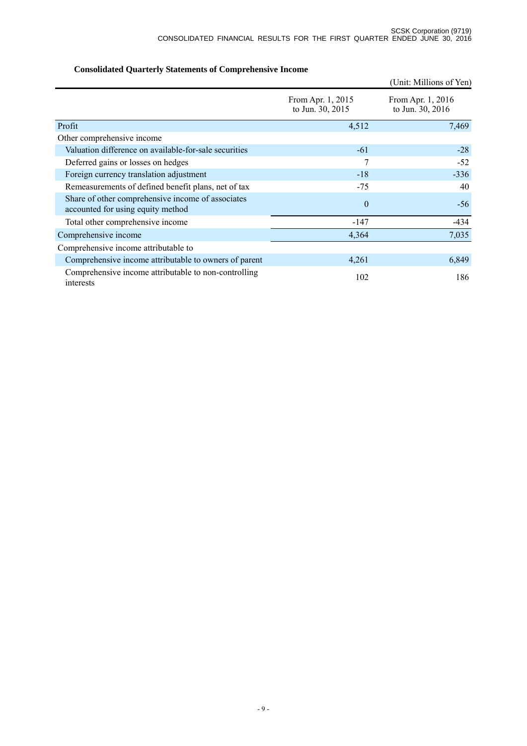|                                                                                        |                                       | (Unit: Millions of Yen)               |
|----------------------------------------------------------------------------------------|---------------------------------------|---------------------------------------|
|                                                                                        | From Apr. 1, 2015<br>to Jun. 30, 2015 | From Apr. 1, 2016<br>to Jun. 30, 2016 |
| Profit                                                                                 | 4,512                                 | 7,469                                 |
| Other comprehensive income                                                             |                                       |                                       |
| Valuation difference on available-for-sale securities                                  | $-61$                                 | $-28$                                 |
| Deferred gains or losses on hedges                                                     | 7                                     | $-52$                                 |
| Foreign currency translation adjustment                                                | $-18$                                 | $-336$                                |
| Remeasurements of defined benefit plans, net of tax                                    | $-75$                                 | 40                                    |
| Share of other comprehensive income of associates<br>accounted for using equity method | $\theta$                              | $-56$                                 |
| Total other comprehensive income                                                       | $-147$                                | $-434$                                |
| Comprehensive income                                                                   | 4,364                                 | 7,035                                 |
| Comprehensive income attributable to                                                   |                                       |                                       |
| Comprehensive income attributable to owners of parent                                  | 4,261                                 | 6,849                                 |
| Comprehensive income attributable to non-controlling<br>interests                      | 102                                   | 186                                   |

# **Consolidated Quarterly Statements of Comprehensive Income**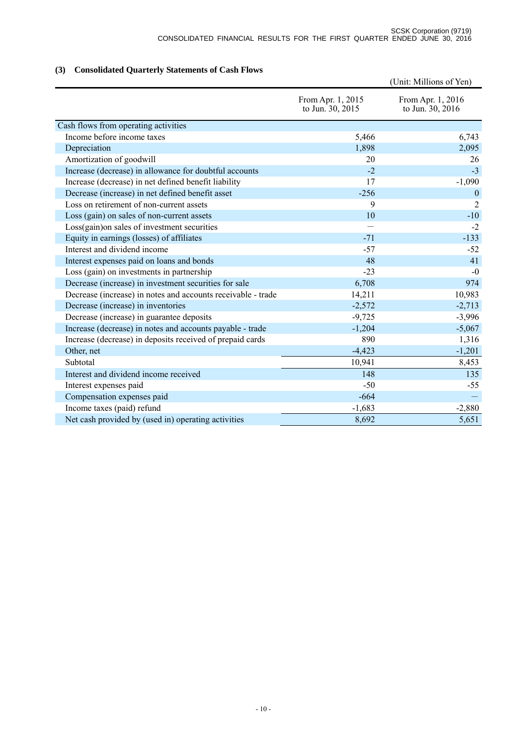# **(3) Consolidated Quarterly Statements of Cash Flows**

|                                                              |                                       | (Unit: Millions of Yen)               |
|--------------------------------------------------------------|---------------------------------------|---------------------------------------|
|                                                              | From Apr. 1, 2015<br>to Jun. 30, 2015 | From Apr. 1, 2016<br>to Jun. 30, 2016 |
| Cash flows from operating activities                         |                                       |                                       |
| Income before income taxes                                   | 5,466                                 | 6,743                                 |
| Depreciation                                                 | 1,898                                 | 2,095                                 |
| Amortization of goodwill                                     | 20                                    | 26                                    |
| Increase (decrease) in allowance for doubtful accounts       | $-2$                                  | $-3$                                  |
| Increase (decrease) in net defined benefit liability         | 17                                    | $-1,090$                              |
| Decrease (increase) in net defined benefit asset             | $-256$                                | $\overline{0}$                        |
| Loss on retirement of non-current assets                     | 9                                     | 2                                     |
| Loss (gain) on sales of non-current assets                   | 10                                    | $-10$                                 |
| Loss(gain) on sales of investment securities                 |                                       | $-2$                                  |
| Equity in earnings (losses) of affiliates                    | $-71$                                 | $-133$                                |
| Interest and dividend income                                 | $-57$                                 | $-52$                                 |
| Interest expenses paid on loans and bonds                    | 48                                    | 41                                    |
| Loss (gain) on investments in partnership                    | $-23$                                 | $-0$                                  |
| Decrease (increase) in investment securities for sale        | 6,708                                 | 974                                   |
| Decrease (increase) in notes and accounts receivable - trade | 14,211                                | 10,983                                |
| Decrease (increase) in inventories                           | $-2,572$                              | $-2,713$                              |
| Decrease (increase) in guarantee deposits                    | $-9,725$                              | $-3,996$                              |
| Increase (decrease) in notes and accounts payable - trade    | $-1,204$                              | $-5,067$                              |
| Increase (decrease) in deposits received of prepaid cards    | 890                                   | 1,316                                 |
| Other, net                                                   | $-4,423$                              | $-1,201$                              |
| Subtotal                                                     | 10,941                                | 8,453                                 |
| Interest and dividend income received                        | 148                                   | 135                                   |
| Interest expenses paid                                       | $-50$                                 | $-55$                                 |
| Compensation expenses paid                                   | $-664$                                |                                       |
| Income taxes (paid) refund                                   | $-1,683$                              | $-2,880$                              |
| Net cash provided by (used in) operating activities          | 8,692                                 | 5,651                                 |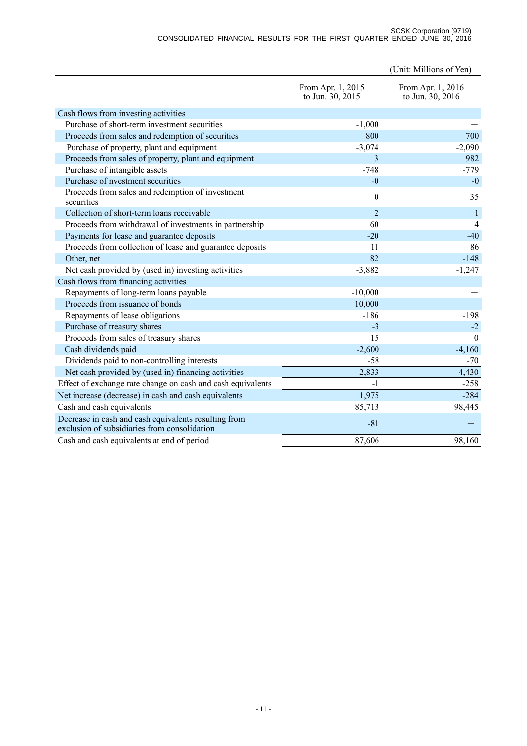#### SCSK Corporation (9719) CONSOLIDATED FINANCIAL RESULTS FOR THE FIRST QUARTER ENDED JUNE 30, 2016

|                                                                                                      |                                       | (Unit: Millions of Yen)               |
|------------------------------------------------------------------------------------------------------|---------------------------------------|---------------------------------------|
|                                                                                                      | From Apr. 1, 2015<br>to Jun. 30, 2015 | From Apr. 1, 2016<br>to Jun. 30, 2016 |
| Cash flows from investing activities                                                                 |                                       |                                       |
| Purchase of short-term investment securities                                                         | $-1,000$                              |                                       |
| Proceeds from sales and redemption of securities                                                     | 800                                   | 700                                   |
| Purchase of property, plant and equipment                                                            | $-3,074$                              | $-2,090$                              |
| Proceeds from sales of property, plant and equipment                                                 | 3                                     | 982                                   |
| Purchase of intangible assets                                                                        | $-748$                                | $-779$                                |
| Purchase of nvestment securities                                                                     | $-0$                                  | $-0$                                  |
| Proceeds from sales and redemption of investment<br>securities                                       | $\boldsymbol{0}$                      | 35                                    |
| Collection of short-term loans receivable                                                            | $\overline{2}$                        | $\mathbf{1}$                          |
| Proceeds from withdrawal of investments in partnership                                               | 60                                    | 4                                     |
| Payments for lease and guarantee deposits                                                            | $-20$                                 | $-40$                                 |
| Proceeds from collection of lease and guarantee deposits                                             | 11                                    | 86                                    |
| Other, net                                                                                           | 82                                    | $-148$                                |
| Net cash provided by (used in) investing activities                                                  | $-3,882$                              | $-1,247$                              |
| Cash flows from financing activities                                                                 |                                       |                                       |
| Repayments of long-term loans payable                                                                | $-10,000$                             |                                       |
| Proceeds from issuance of bonds                                                                      | 10,000                                |                                       |
| Repayments of lease obligations                                                                      | $-186$                                | $-198$                                |
| Purchase of treasury shares                                                                          | $-3$                                  | $-2$                                  |
| Proceeds from sales of treasury shares                                                               | 15                                    | $\theta$                              |
| Cash dividends paid                                                                                  | $-2,600$                              | $-4,160$                              |
| Dividends paid to non-controlling interests                                                          | $-58$                                 | $-70$                                 |
| Net cash provided by (used in) financing activities                                                  | $-2,833$                              | $-4,430$                              |
| Effect of exchange rate change on cash and cash equivalents                                          | $-1$                                  | $-258$                                |
| Net increase (decrease) in cash and cash equivalents                                                 | 1,975                                 | $-284$                                |
| Cash and cash equivalents                                                                            | 85,713                                | 98,445                                |
| Decrease in cash and cash equivalents resulting from<br>exclusion of subsidiaries from consolidation | $-81$                                 |                                       |
| Cash and cash equivalents at end of period                                                           | 87,606                                | 98,160                                |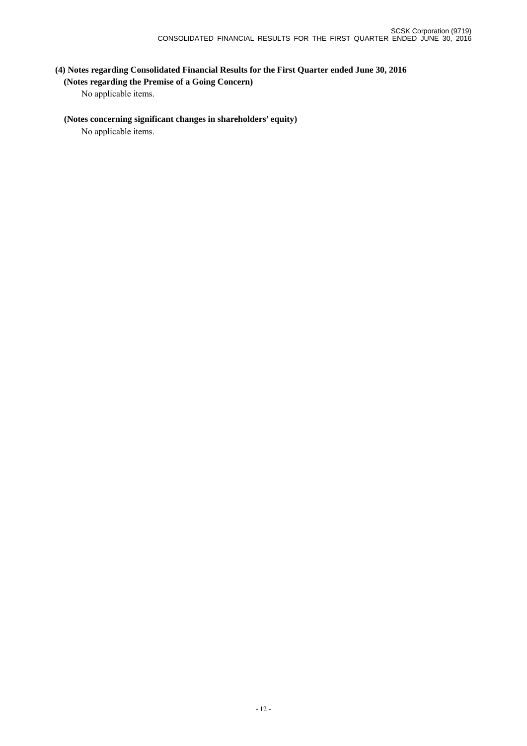# **(4) Notes regarding Consolidated Financial Results for the First Quarter ended June 30, 2016 (Notes regarding the Premise of a Going Concern)**

No applicable items.

## **(Notes concerning significant changes in shareholders' equity)**

No applicable items.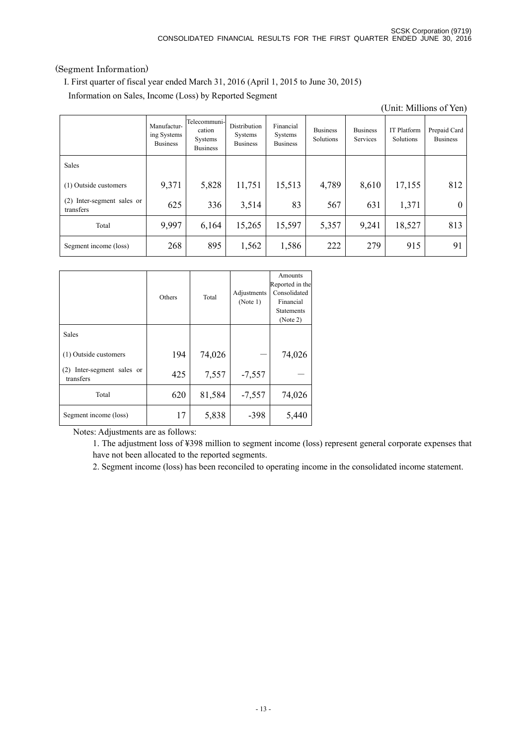# (Segment Information)

I. First quarter of fiscal year ended March 31, 2016 (April 1, 2015 to June 30, 2015)

Information on Sales, Income (Loss) by Reported Segment

|                                            |                                               |                                                             |                                            |                                         |                              |                                    |                                 | (Unit: Millions of Yen)         |
|--------------------------------------------|-----------------------------------------------|-------------------------------------------------------------|--------------------------------------------|-----------------------------------------|------------------------------|------------------------------------|---------------------------------|---------------------------------|
|                                            | Manufactur-<br>ing Systems<br><b>Business</b> | Telecommuni-<br>cation<br><b>Systems</b><br><b>Business</b> | Distribution<br>Systems<br><b>Business</b> | Financial<br>Systems<br><b>Business</b> | <b>Business</b><br>Solutions | <b>Business</b><br><b>Services</b> | <b>IT Platform</b><br>Solutions | Prepaid Card<br><b>Business</b> |
| Sales                                      |                                               |                                                             |                                            |                                         |                              |                                    |                                 |                                 |
| (1) Outside customers                      | 9,371                                         | 5,828                                                       | 11,751                                     | 15,513                                  | 4,789                        | 8,610                              | 17,155                          | 812                             |
| Inter-segment sales or<br>(2)<br>transfers | 625                                           | 336                                                         | 3,514                                      | 83                                      | 567                          | 631                                | 1,371                           | $\theta$                        |
| Total                                      | 9,997                                         | 6,164                                                       | 15,265                                     | 15,597                                  | 5,357                        | 9,241                              | 18,527                          | 813                             |
| Segment income (loss)                      | 268                                           | 895                                                         | 1,562                                      | 1,586                                   | 222                          | 279                                | 915                             | 91                              |

|                                            | Others | Total  | Adjustments<br>(Note 1) | Amounts<br>Reported in the<br>Consolidated<br>Financial<br><b>Statements</b><br>(Note 2) |
|--------------------------------------------|--------|--------|-------------------------|------------------------------------------------------------------------------------------|
| Sales                                      |        |        |                         |                                                                                          |
| (1) Outside customers                      | 194    | 74,026 |                         | 74,026                                                                                   |
| Inter-segment sales or<br>(2)<br>transfers | 425    | 7,557  | $-7,557$                |                                                                                          |
| Total                                      | 620    | 81,584 | $-7,557$                | 74,026                                                                                   |
| Segment income (loss)                      | 17     | 5,838  | $-398$                  | 5,440                                                                                    |

Notes: Adjustments are as follows:

1. The adjustment loss of ¥398 million to segment income (loss) represent general corporate expenses that have not been allocated to the reported segments.

2. Segment income (loss) has been reconciled to operating income in the consolidated income statement.